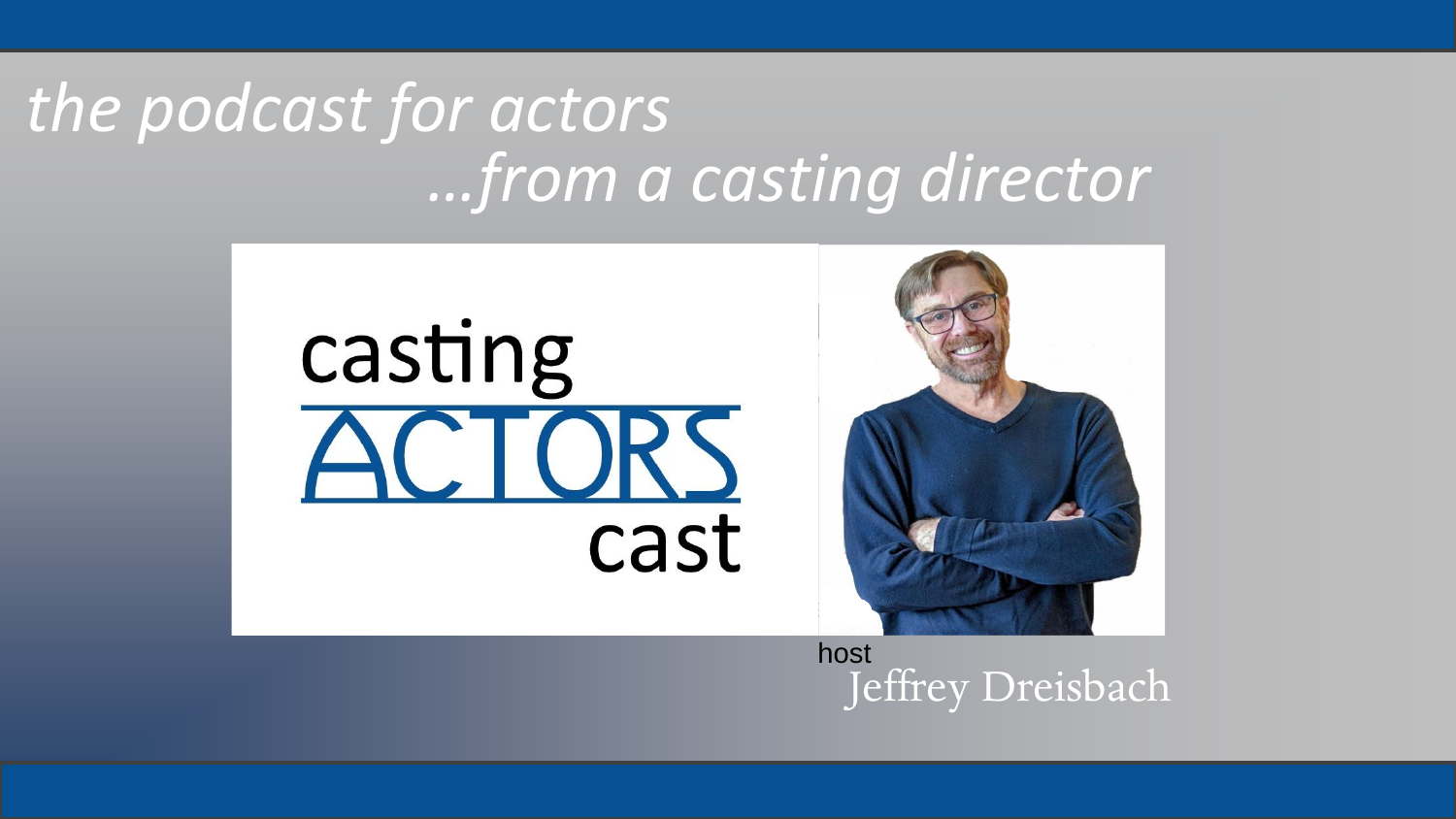## *the podcast for actors …from a casting director*



Jeffrey Dreisbach host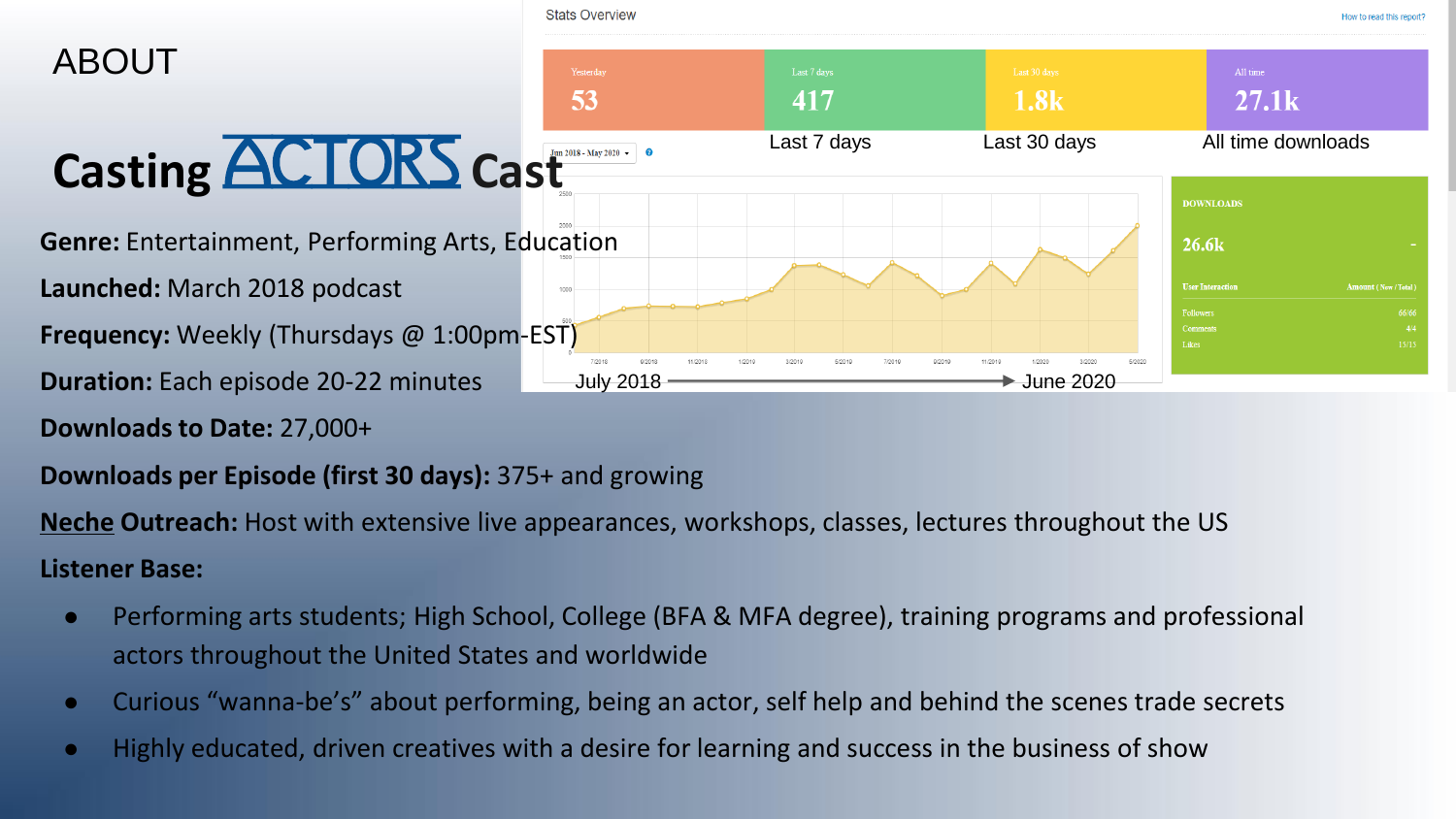

**Downloads to Date:** 27,000+

### **Downloads per Episode (first 30 days):** 375+ and growing

**Neche Outreach:** Host with extensive live appearances, workshops, classes, lectures throughout the US **Listener Base:**

- Performing arts students; High School, College (BFA & MFA degree), training programs and professional actors throughout the United States and worldwide
- Curious "wanna-be's" about performing, being an actor, self help and behind the scenes trade secrets
- Highly educated, driven creatives with a desire for learning and success in the business of show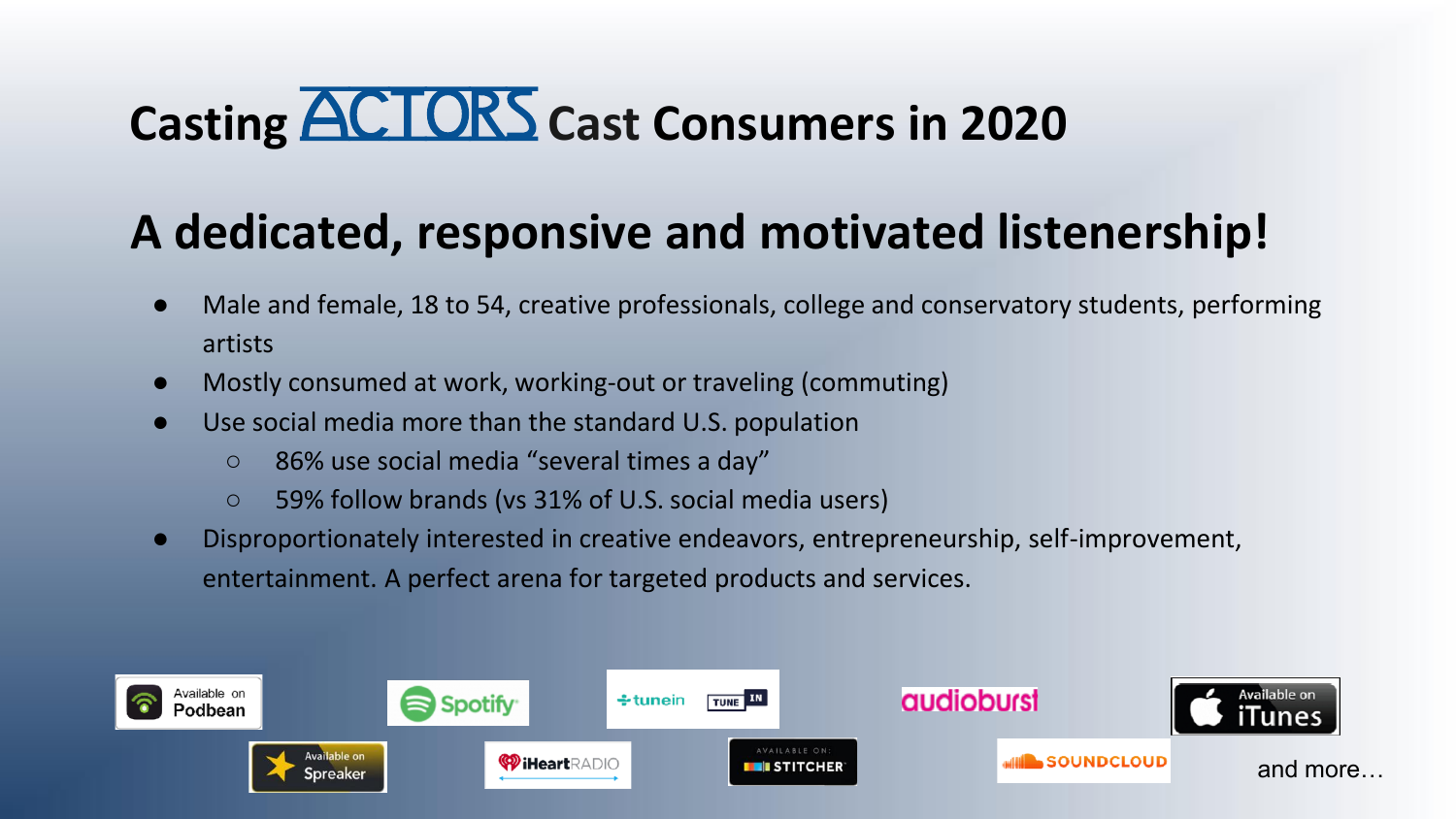## **Casting ACTORS Cast Consumers in 2020**

### **A dedicated, responsive and motivated listenership!**

- Male and female, 18 to 54, creative professionals, college and conservatory students, performing artists
- Mostly consumed at work, working-out or traveling (commuting)
- Use social media more than the standard U.S. population
	- 86% use social media "several times a day"
	- 59% follow brands (vs 31% of U.S. social media users)
- Disproportionately interested in creative endeavors, entrepreneurship, self-improvement, entertainment. A perfect arena for targeted products and services.

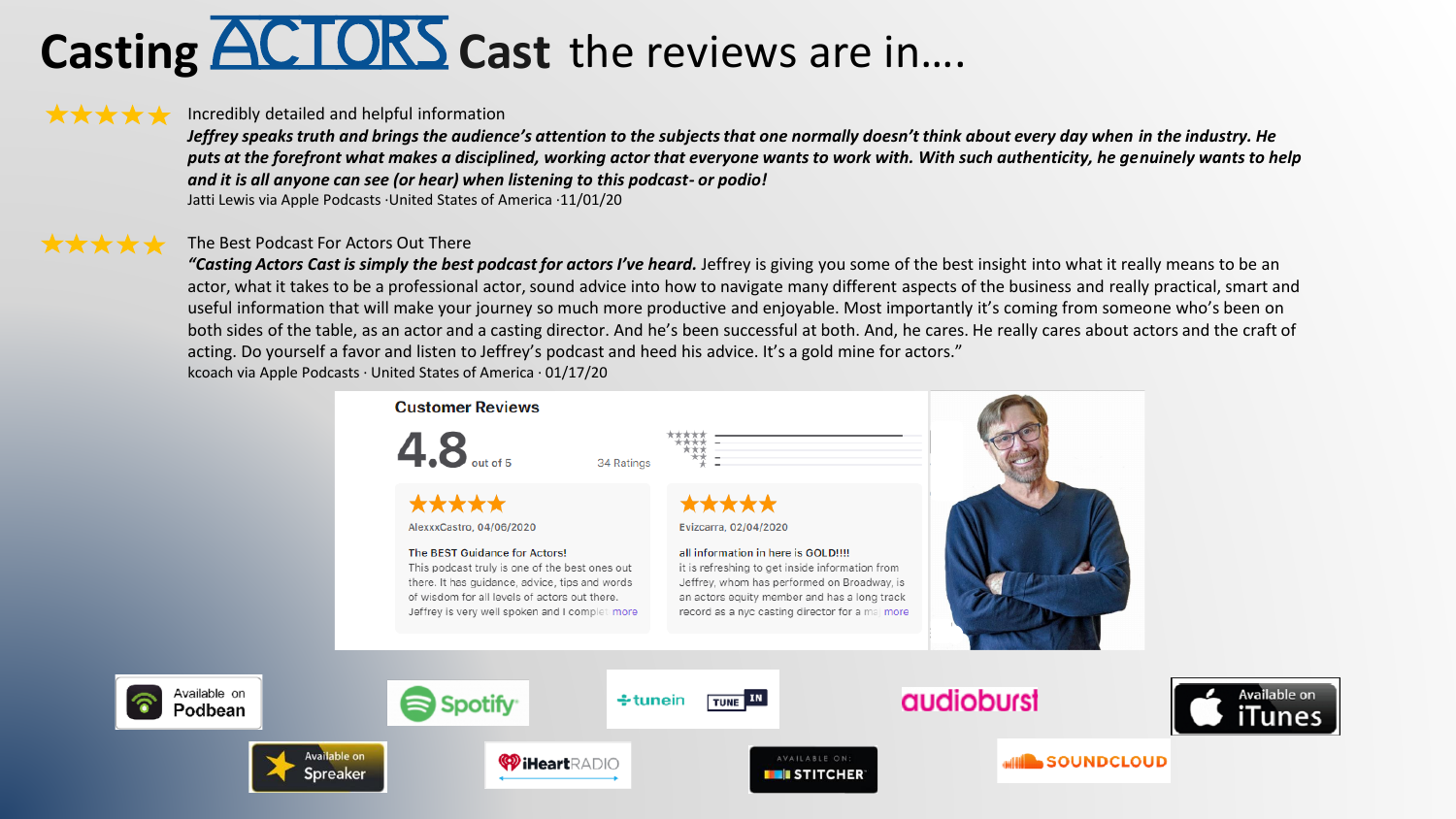## **Casting ACTORS** Cast the reviews are in....

#### \*\*\*\*\*

#### Incredibly detailed and helpful information

*Jeffrey speaks truth and brings the audience's attention to the subjects that one normally doesn't think about every day when in the industry. He puts at the forefront what makes a disciplined, working actor that everyone wants to work with. With such authenticity, he genuinely wants to help and it is all anyone can see (or hear) when listening to this podcast- or podio!*

Jatti Lewis via Apple Podcasts ·United States of America ·11/01/20

#### \*\*\*\*\* The Best Podcast For Actors Out There

"Casting Actors Cast is simply the best podcast for actors I've heard. Jeffrey is giving you some of the best insight into what it really means to be an actor, what it takes to be a professional actor, sound advice into how to navigate many different aspects of the business and really practical, smart and useful information that will make your journey so much more productive and enjoyable. Most importantly it's coming from someone who's been on both sides of the table, as an actor and a casting director. And he's been successful at both. And, he cares. He really cares about actors and the craft of acting. Do yourself a favor and listen to Jeffrey's podcast and heed his advice. It's a gold mine for actors." kcoach via Apple Podcasts · United States of America · 01/17/20

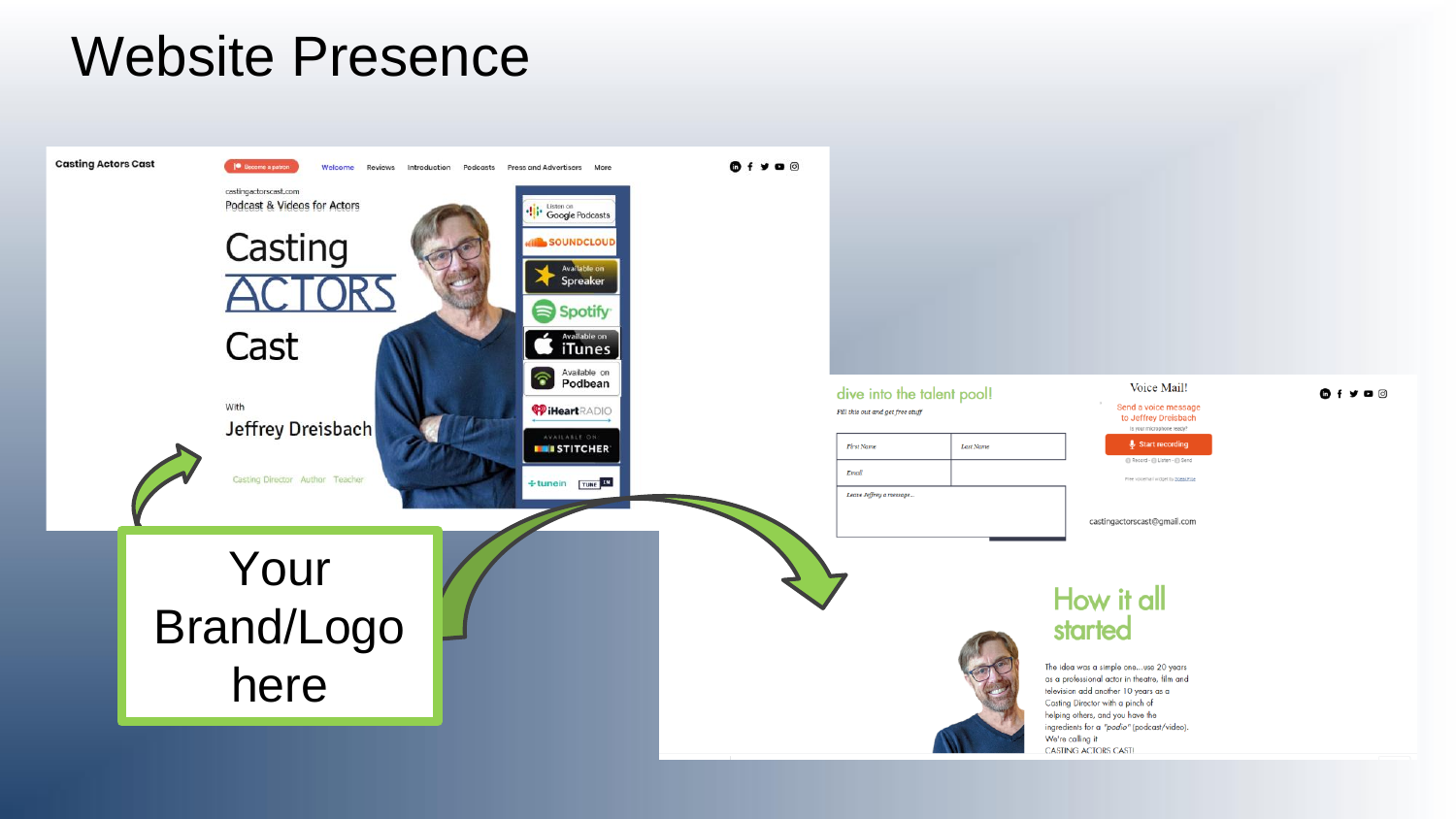### Website Presence

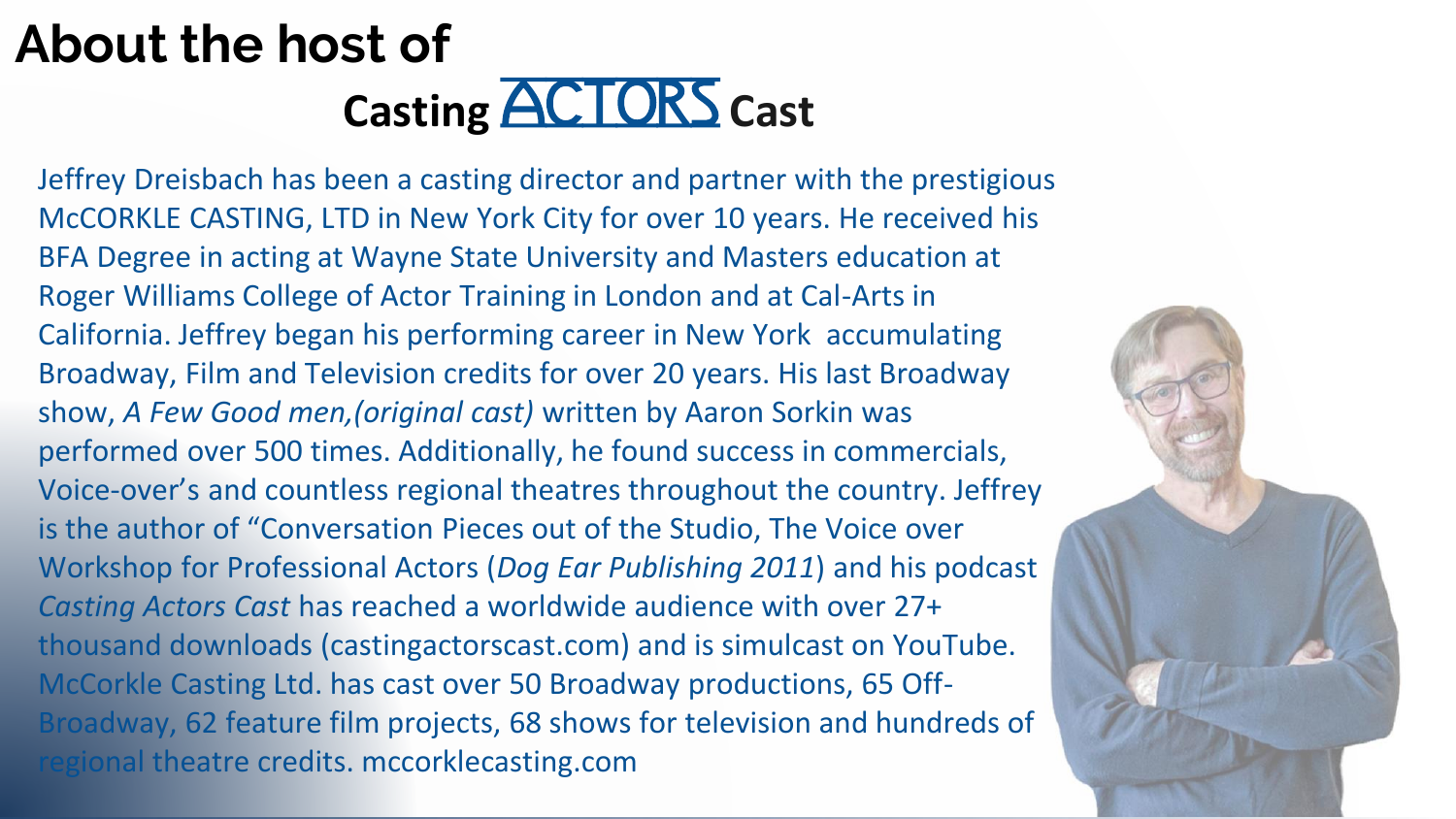## **About the host of Casting <b>ACTORS** Cast

Jeffrey Dreisbach has been a casting director and partner with the prestigious McCORKLE CASTING, LTD in New York City for over 10 years. He received his BFA Degree in acting at Wayne State University and Masters education at Roger Williams College of Actor Training in London and at Cal-Arts in California. Jeffrey began his performing career in New York accumulating Broadway, Film and Television credits for over 20 years. His last Broadway show, *A Few Good men,(original cast)* written by Aaron Sorkin was performed over 500 times. Additionally, he found success in commercials, Voice-over's and countless regional theatres throughout the country. Jeffrey is the author of "Conversation Pieces out of the Studio, The Voice over Workshop for Professional Actors (*Dog Ear Publishing 2011*) and his podcast *Casting Actors Cast* has reached a worldwide audience with over 27+ thousand downloads (castingactorscast.com) and is simulcast on YouTube. McCorkle Casting Ltd. has cast over 50 Broadway productions, 65 Off-Broadway, 62 feature film projects, 68 shows for television and hundreds of rional theatre credits. mccorklecasting.com

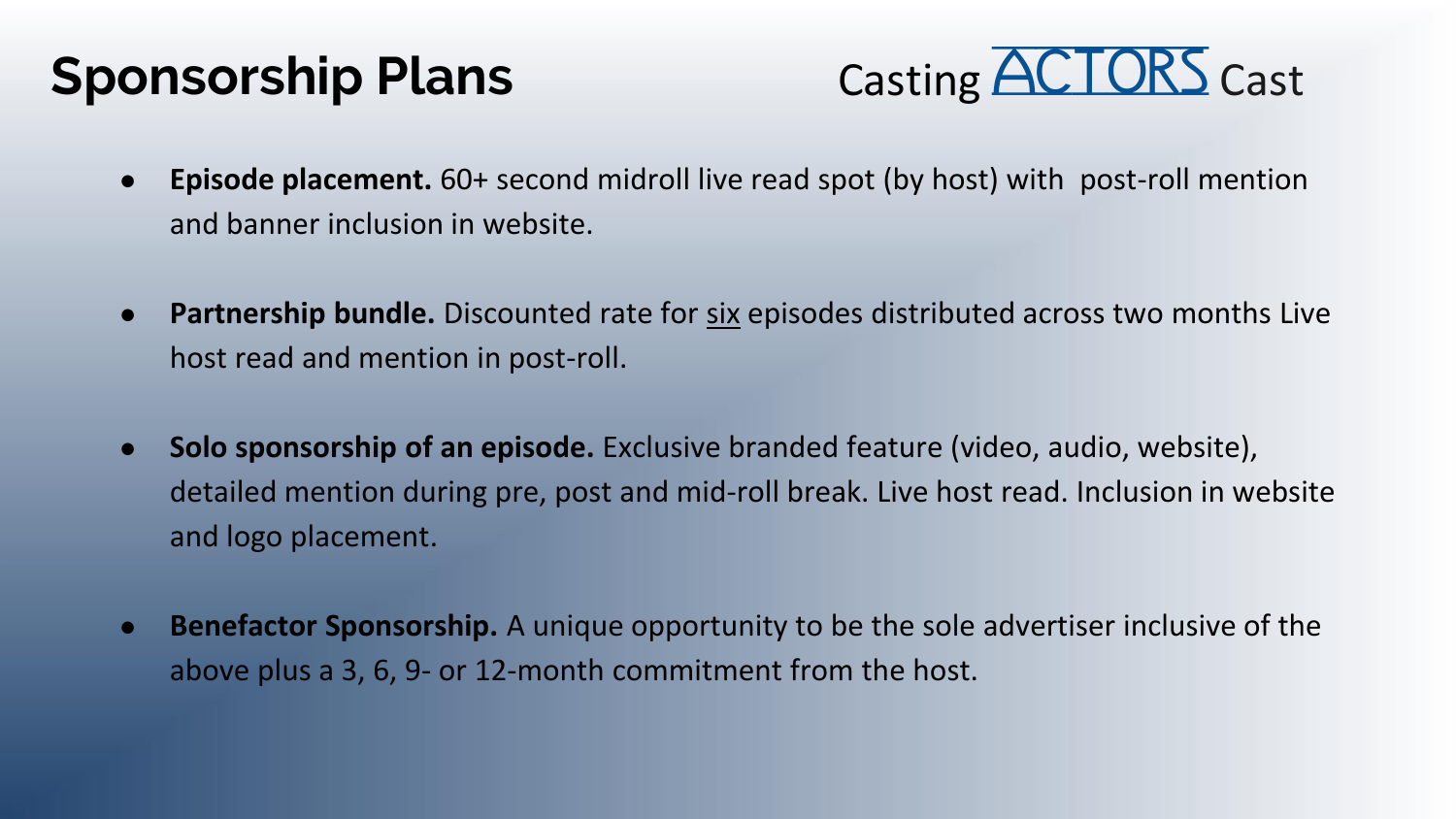### **Sponsorship Plans**



- **Episode placement.** 60+ second midroll live read spot (by host) with post-roll mention and banner inclusion in website.
- **Partnership bundle.** Discounted rate for six episodes distributed across two months Live host read and mention in post-roll.
- **Solo sponsorship of an episode.** Exclusive branded feature (video, audio, website), detailed mention during pre, post and mid-roll break. Live host read. Inclusion in website and logo placement.
- **Benefactor Sponsorship.** A unique opportunity to be the sole advertiser inclusive of the above plus a 3, 6, 9- or 12-month commitment from the host.